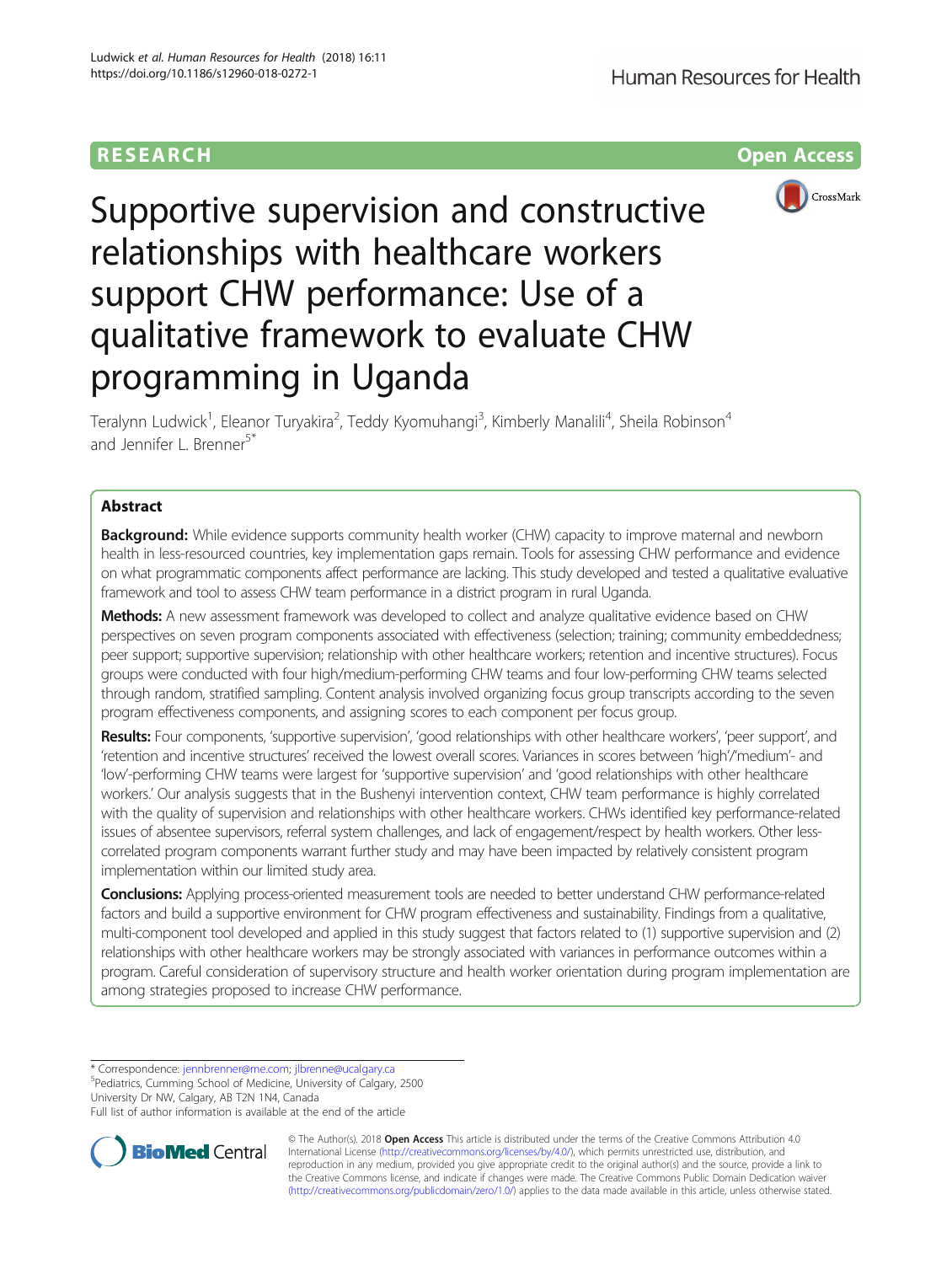## **RESEARCH CHINESE ARCH CHINESE ARCHITECT ARCHITECT ARCHITECT ARCHITECT ARCHITECT ARCHITECT ARCHITECT ARCHITECT ARCHITECT ARCHITECT ARCHITECT ARCHITECT ARCHITECT ARCHITECT ARCHITECT ARCHITECT ARCHITECT ARCHITECT ARCHITE**



# Supportive supervision and constructive relationships with healthcare workers support CHW performance: Use of a qualitative framework to evaluate CHW programming in Uganda

Teralynn Ludwick<sup>1</sup>, Eleanor Turyakira<sup>2</sup>, Teddy Kyomuhangi<sup>3</sup>, Kimberly Manalili<sup>4</sup>, Sheila Robinson<sup>4</sup> and Jennifer L. Brenner<sup>5\*</sup>

## Abstract

**Background:** While evidence supports community health worker (CHW) capacity to improve maternal and newborn health in less-resourced countries, key implementation gaps remain. Tools for assessing CHW performance and evidence on what programmatic components affect performance are lacking. This study developed and tested a qualitative evaluative framework and tool to assess CHW team performance in a district program in rural Uganda.

Methods: A new assessment framework was developed to collect and analyze qualitative evidence based on CHW perspectives on seven program components associated with effectiveness (selection; training; community embeddedness; peer support; supportive supervision; relationship with other healthcare workers; retention and incentive structures). Focus groups were conducted with four high/medium-performing CHW teams and four low-performing CHW teams selected through random, stratified sampling. Content analysis involved organizing focus group transcripts according to the seven program effectiveness components, and assigning scores to each component per focus group.

Results: Four components, 'supportive supervision', 'good relationships with other healthcare workers', 'peer support', and 'retention and incentive structures' received the lowest overall scores. Variances in scores between 'high'/'medium'- and 'low'-performing CHW teams were largest for 'supportive supervision' and 'good relationships with other healthcare workers.' Our analysis suggests that in the Bushenyi intervention context, CHW team performance is highly correlated with the quality of supervision and relationships with other healthcare workers. CHWs identified key performance-related issues of absentee supervisors, referral system challenges, and lack of engagement/respect by health workers. Other lesscorrelated program components warrant further study and may have been impacted by relatively consistent program implementation within our limited study area.

Conclusions: Applying process-oriented measurement tools are needed to better understand CHW performance-related factors and build a supportive environment for CHW program effectiveness and sustainability. Findings from a qualitative, multi-component tool developed and applied in this study suggest that factors related to (1) supportive supervision and (2) relationships with other healthcare workers may be strongly associated with variances in performance outcomes within a program. Careful consideration of supervisory structure and health worker orientation during program implementation are among strategies proposed to increase CHW performance.

\* Correspondence: [jennbrenner@me.com;](mailto:jennbrenner@me.com) [jlbrenne@ucalgary.ca](mailto:jlbrenne@ucalgary.ca) <sup>5</sup>

<sup>5</sup>Pediatrics, Cumming School of Medicine, University of Calgary, 2500 University Dr NW, Calgary, AB T2N 1N4, Canada

Full list of author information is available at the end of the article



© The Author(s). 2018 Open Access This article is distributed under the terms of the Creative Commons Attribution 4.0 International License [\(http://creativecommons.org/licenses/by/4.0/](http://creativecommons.org/licenses/by/4.0/)), which permits unrestricted use, distribution, and reproduction in any medium, provided you give appropriate credit to the original author(s) and the source, provide a link to the Creative Commons license, and indicate if changes were made. The Creative Commons Public Domain Dedication waiver [\(http://creativecommons.org/publicdomain/zero/1.0/](http://creativecommons.org/publicdomain/zero/1.0/)) applies to the data made available in this article, unless otherwise stated.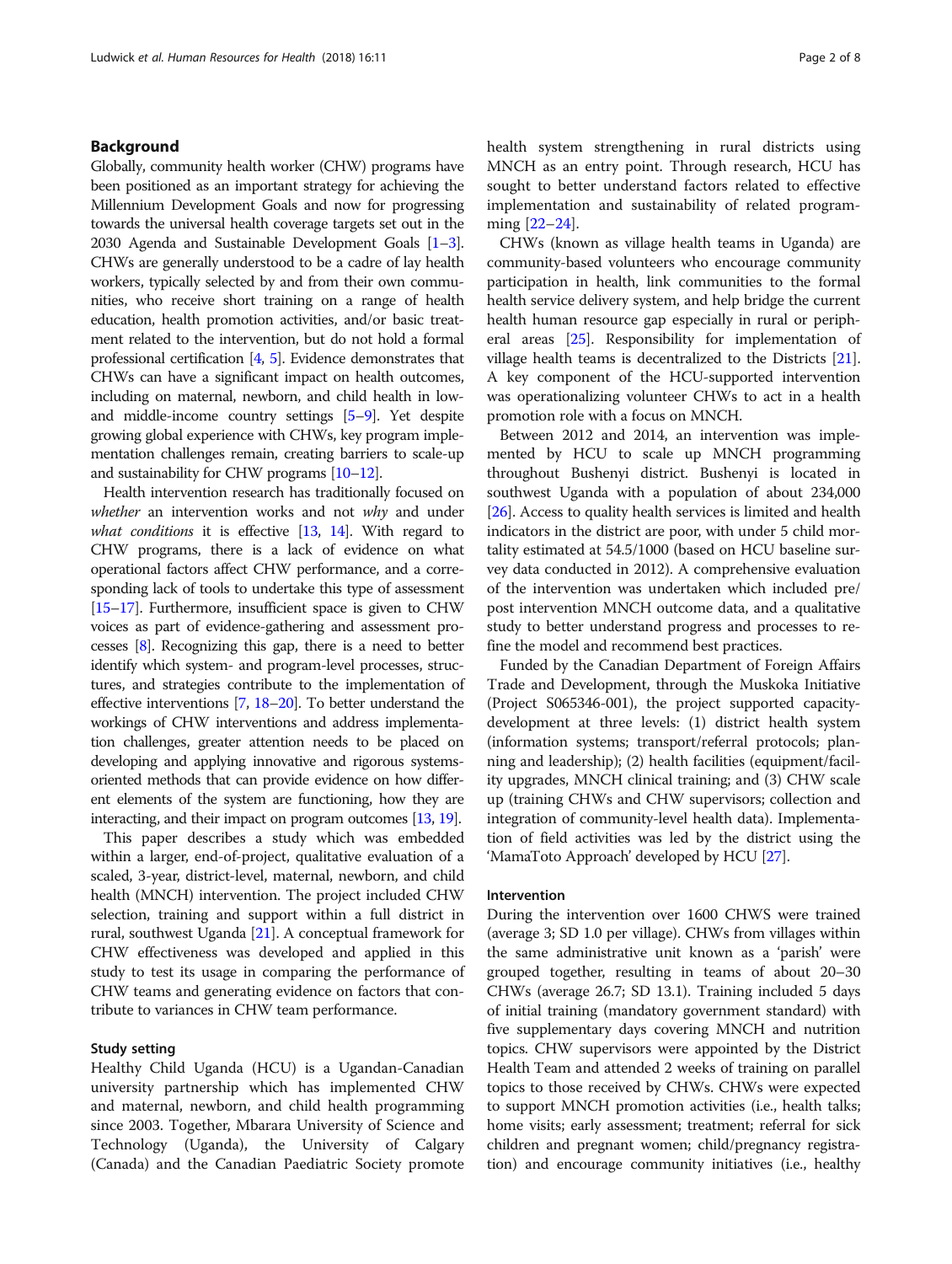## Background

Globally, community health worker (CHW) programs have been positioned as an important strategy for achieving the Millennium Development Goals and now for progressing towards the universal health coverage targets set out in the 2030 Agenda and Sustainable Development Goals [\[1](#page-6-0)–[3](#page-6-0)]. CHWs are generally understood to be a cadre of lay health workers, typically selected by and from their own communities, who receive short training on a range of health education, health promotion activities, and/or basic treatment related to the intervention, but do not hold a formal professional certification [\[4,](#page-6-0) [5](#page-7-0)]. Evidence demonstrates that CHWs can have a significant impact on health outcomes, including on maternal, newborn, and child health in lowand middle-income country settings [[5](#page-7-0)–[9\]](#page-7-0). Yet despite growing global experience with CHWs, key program implementation challenges remain, creating barriers to scale-up and sustainability for CHW programs [\[10](#page-7-0)–[12](#page-7-0)].

Health intervention research has traditionally focused on whether an intervention works and not why and under what conditions it is effective  $[13, 14]$  $[13, 14]$  $[13, 14]$ . With regard to CHW programs, there is a lack of evidence on what operational factors affect CHW performance, and a corresponding lack of tools to undertake this type of assessment [[15](#page-7-0)–[17](#page-7-0)]. Furthermore, insufficient space is given to CHW voices as part of evidence-gathering and assessment processes [\[8\]](#page-7-0). Recognizing this gap, there is a need to better identify which system- and program-level processes, structures, and strategies contribute to the implementation of effective interventions [\[7,](#page-7-0) [18](#page-7-0)–[20\]](#page-7-0). To better understand the workings of CHW interventions and address implementation challenges, greater attention needs to be placed on developing and applying innovative and rigorous systemsoriented methods that can provide evidence on how different elements of the system are functioning, how they are interacting, and their impact on program outcomes [[13,](#page-7-0) [19\]](#page-7-0).

This paper describes a study which was embedded within a larger, end-of-project, qualitative evaluation of a scaled, 3-year, district-level, maternal, newborn, and child health (MNCH) intervention. The project included CHW selection, training and support within a full district in rural, southwest Uganda [[21\]](#page-7-0). A conceptual framework for CHW effectiveness was developed and applied in this study to test its usage in comparing the performance of CHW teams and generating evidence on factors that contribute to variances in CHW team performance.

## Study setting

Healthy Child Uganda (HCU) is a Ugandan-Canadian university partnership which has implemented CHW and maternal, newborn, and child health programming since 2003. Together, Mbarara University of Science and Technology (Uganda), the University of Calgary (Canada) and the Canadian Paediatric Society promote health system strengthening in rural districts using MNCH as an entry point. Through research, HCU has sought to better understand factors related to effective implementation and sustainability of related programming [[22](#page-7-0)–[24](#page-7-0)].

CHWs (known as village health teams in Uganda) are community-based volunteers who encourage community participation in health, link communities to the formal health service delivery system, and help bridge the current health human resource gap especially in rural or peripheral areas [\[25\]](#page-7-0). Responsibility for implementation of village health teams is decentralized to the Districts [[21](#page-7-0)]. A key component of the HCU-supported intervention was operationalizing volunteer CHWs to act in a health promotion role with a focus on MNCH.

Between 2012 and 2014, an intervention was implemented by HCU to scale up MNCH programming throughout Bushenyi district. Bushenyi is located in southwest Uganda with a population of about 234,000 [[26](#page-7-0)]. Access to quality health services is limited and health indicators in the district are poor, with under 5 child mortality estimated at 54.5/1000 (based on HCU baseline survey data conducted in 2012). A comprehensive evaluation of the intervention was undertaken which included pre/ post intervention MNCH outcome data, and a qualitative study to better understand progress and processes to refine the model and recommend best practices.

Funded by the Canadian Department of Foreign Affairs Trade and Development, through the Muskoka Initiative (Project S065346-001), the project supported capacitydevelopment at three levels: (1) district health system (information systems; transport/referral protocols; planning and leadership); (2) health facilities (equipment/facility upgrades, MNCH clinical training; and (3) CHW scale up (training CHWs and CHW supervisors; collection and integration of community-level health data). Implementation of field activities was led by the district using the 'MamaToto Approach' developed by HCU [[27](#page-7-0)].

#### Intervention

During the intervention over 1600 CHWS were trained (average 3; SD 1.0 per village). CHWs from villages within the same administrative unit known as a 'parish' were grouped together, resulting in teams of about 20–30 CHWs (average 26.7; SD 13.1). Training included 5 days of initial training (mandatory government standard) with five supplementary days covering MNCH and nutrition topics. CHW supervisors were appointed by the District Health Team and attended 2 weeks of training on parallel topics to those received by CHWs. CHWs were expected to support MNCH promotion activities (i.e., health talks; home visits; early assessment; treatment; referral for sick children and pregnant women; child/pregnancy registration) and encourage community initiatives (i.e., healthy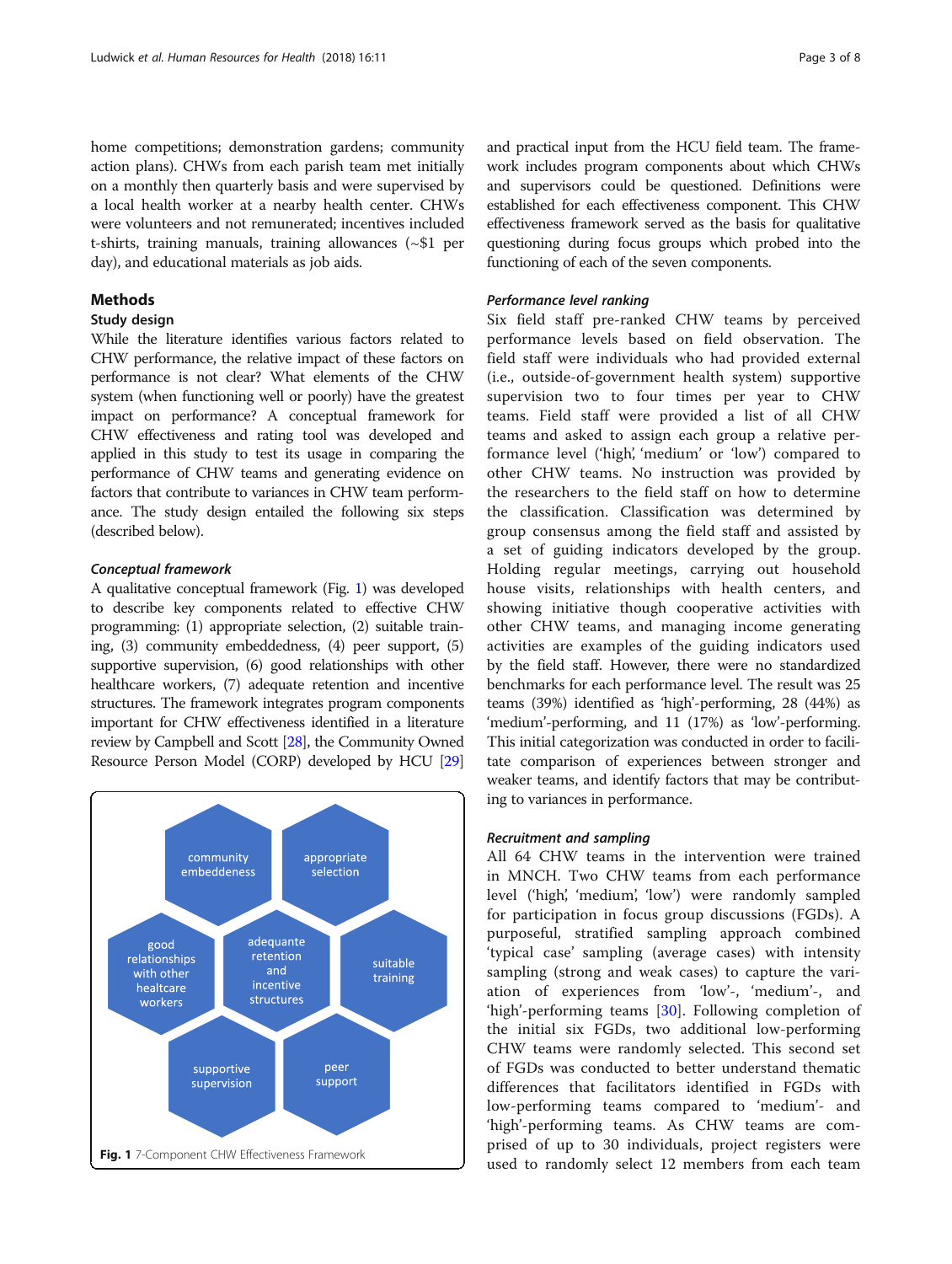home competitions; demonstration gardens; community action plans). CHWs from each parish team met initially on a monthly then quarterly basis and were supervised by a local health worker at a nearby health center. CHWs were volunteers and not remunerated; incentives included t-shirts, training manuals, training allowances (~\$1 per day), and educational materials as job aids.

## Methods

## Study design

While the literature identifies various factors related to CHW performance, the relative impact of these factors on performance is not clear? What elements of the CHW system (when functioning well or poorly) have the greatest impact on performance? A conceptual framework for CHW effectiveness and rating tool was developed and applied in this study to test its usage in comparing the performance of CHW teams and generating evidence on factors that contribute to variances in CHW team performance. The study design entailed the following six steps (described below).

## Conceptual framework

A qualitative conceptual framework (Fig. 1) was developed to describe key components related to effective CHW programming: (1) appropriate selection, (2) suitable training, (3) community embeddedness, (4) peer support, (5) supportive supervision, (6) good relationships with other healthcare workers, (7) adequate retention and incentive structures. The framework integrates program components important for CHW effectiveness identified in a literature review by Campbell and Scott [[28](#page-7-0)], the Community Owned Resource Person Model (CORP) developed by HCU [\[29](#page-7-0)]



and practical input from the HCU field team. The framework includes program components about which CHWs and supervisors could be questioned. Definitions were established for each effectiveness component. This CHW effectiveness framework served as the basis for qualitative questioning during focus groups which probed into the functioning of each of the seven components.

### Performance level ranking

Six field staff pre-ranked CHW teams by perceived performance levels based on field observation. The field staff were individuals who had provided external (i.e., outside-of-government health system) supportive supervision two to four times per year to CHW teams. Field staff were provided a list of all CHW teams and asked to assign each group a relative performance level ('high', 'medium' or 'low') compared to other CHW teams. No instruction was provided by the researchers to the field staff on how to determine the classification. Classification was determined by group consensus among the field staff and assisted by a set of guiding indicators developed by the group. Holding regular meetings, carrying out household house visits, relationships with health centers, and showing initiative though cooperative activities with other CHW teams, and managing income generating activities are examples of the guiding indicators used by the field staff. However, there were no standardized benchmarks for each performance level. The result was 25 teams (39%) identified as 'high'-performing, 28 (44%) as 'medium'-performing, and 11 (17%) as 'low'-performing. This initial categorization was conducted in order to facilitate comparison of experiences between stronger and weaker teams, and identify factors that may be contributing to variances in performance.

## Recruitment and sampling

All 64 CHW teams in the intervention were trained in MNCH. Two CHW teams from each performance level ('high', 'medium', 'low') were randomly sampled for participation in focus group discussions (FGDs). A purposeful, stratified sampling approach combined 'typical case' sampling (average cases) with intensity sampling (strong and weak cases) to capture the variation of experiences from 'low'-, 'medium'-, and 'high'-performing teams [[30\]](#page-7-0). Following completion of the initial six FGDs, two additional low-performing CHW teams were randomly selected. This second set of FGDs was conducted to better understand thematic differences that facilitators identified in FGDs with low-performing teams compared to 'medium'- and 'high'-performing teams. As CHW teams are comprised of up to 30 individuals, project registers were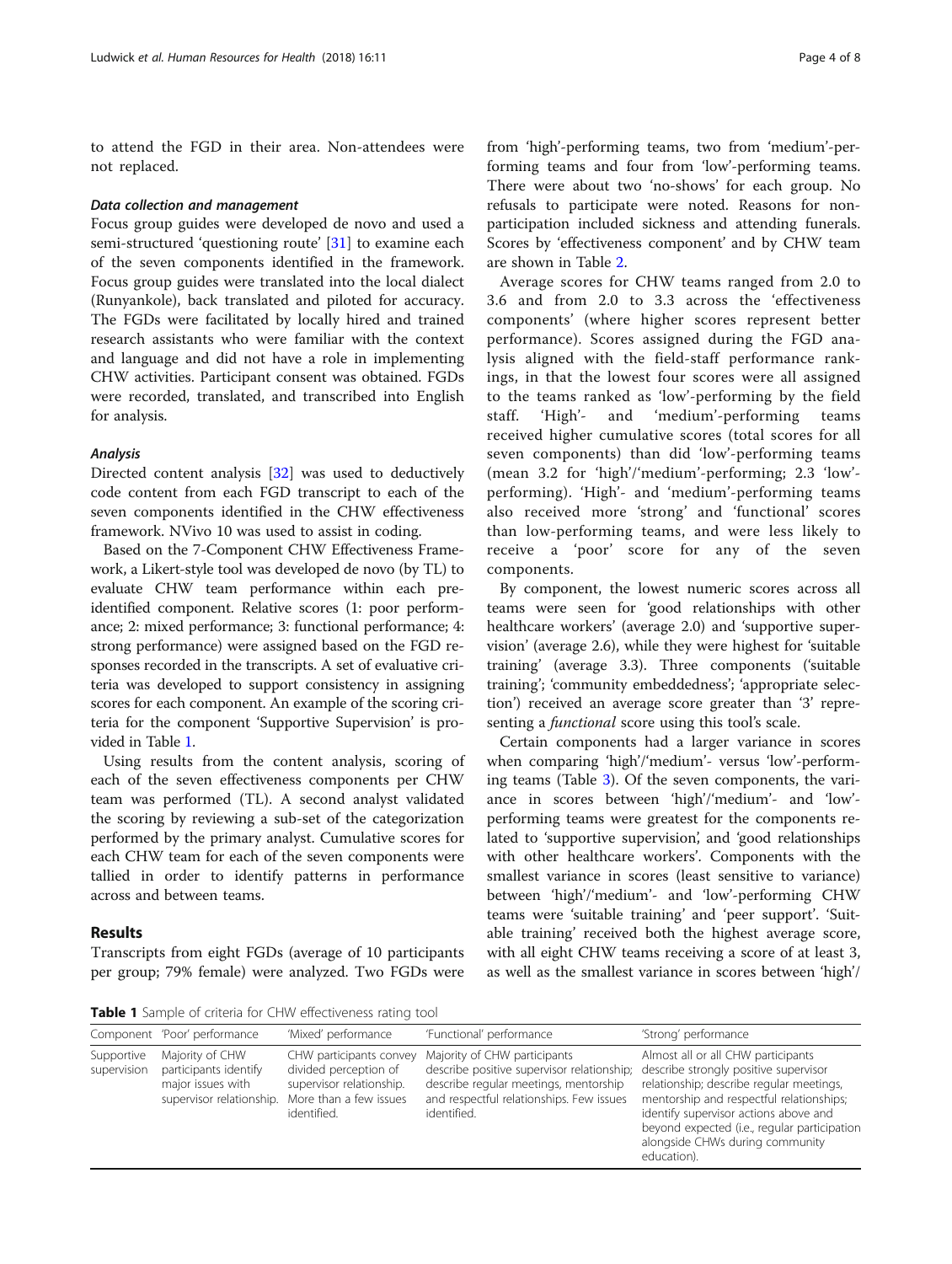to attend the FGD in their area. Non-attendees were not replaced.

#### Data collection and management

Focus group guides were developed de novo and used a semi-structured 'questioning route' [\[31\]](#page-7-0) to examine each of the seven components identified in the framework. Focus group guides were translated into the local dialect (Runyankole), back translated and piloted for accuracy. The FGDs were facilitated by locally hired and trained research assistants who were familiar with the context and language and did not have a role in implementing CHW activities. Participant consent was obtained. FGDs were recorded, translated, and transcribed into English for analysis.

## Analysis

Directed content analysis [\[32\]](#page-7-0) was used to deductively code content from each FGD transcript to each of the seven components identified in the CHW effectiveness framework. NVivo 10 was used to assist in coding.

Based on the 7-Component CHW Effectiveness Framework, a Likert-style tool was developed de novo (by TL) to evaluate CHW team performance within each preidentified component. Relative scores (1: poor performance; 2: mixed performance; 3: functional performance; 4: strong performance) were assigned based on the FGD responses recorded in the transcripts. A set of evaluative criteria was developed to support consistency in assigning scores for each component. An example of the scoring criteria for the component 'Supportive Supervision' is provided in Table 1.

Using results from the content analysis, scoring of each of the seven effectiveness components per CHW team was performed (TL). A second analyst validated the scoring by reviewing a sub-set of the categorization performed by the primary analyst. Cumulative scores for each CHW team for each of the seven components were tallied in order to identify patterns in performance across and between teams.

## Results

Transcripts from eight FGDs (average of 10 participants per group; 79% female) were analyzed. Two FGDs were from 'high'-performing teams, two from 'medium'-performing teams and four from 'low'-performing teams. There were about two 'no-shows' for each group. No refusals to participate were noted. Reasons for nonparticipation included sickness and attending funerals. Scores by 'effectiveness component' and by CHW team are shown in Table [2](#page-4-0).

Average scores for CHW teams ranged from 2.0 to 3.6 and from 2.0 to 3.3 across the 'effectiveness components' (where higher scores represent better performance). Scores assigned during the FGD analysis aligned with the field-staff performance rankings, in that the lowest four scores were all assigned to the teams ranked as 'low'-performing by the field staff. 'High'- and 'medium'-performing teams received higher cumulative scores (total scores for all seven components) than did 'low'-performing teams (mean 3.2 for 'high'/'medium'-performing; 2.3 'low' performing). 'High'- and 'medium'-performing teams also received more 'strong' and 'functional' scores than low-performing teams, and were less likely to receive a 'poor' score for any of the seven components.

By component, the lowest numeric scores across all teams were seen for 'good relationships with other healthcare workers' (average 2.0) and 'supportive supervision' (average 2.6), while they were highest for 'suitable training' (average 3.3). Three components ('suitable training'; 'community embeddedness'; 'appropriate selection') received an average score greater than '3' representing a *functional* score using this tool's scale.

Certain components had a larger variance in scores when comparing 'high'/'medium'- versus 'low'-performing teams (Table [3](#page-4-0)). Of the seven components, the variance in scores between 'high'/'medium'- and 'low' performing teams were greatest for the components related to 'supportive supervision', and 'good relationships with other healthcare workers'. Components with the smallest variance in scores (least sensitive to variance) between 'high'/'medium'- and 'low'-performing CHW teams were 'suitable training' and 'peer support'. 'Suitable training' received both the highest average score, with all eight CHW teams receiving a score of at least 3, as well as the smallest variance in scores between 'high'/

Table 1 Sample of criteria for CHW effectiveness rating tool

| <b>I wished</b> I can go to the content of the concentration of the content of the content of the content of the content |                                                               |                                                                                                                                                |                                                                                                                                                                                                                      |                                                                                                                                                                                                                                                                       |  |  |
|--------------------------------------------------------------------------------------------------------------------------|---------------------------------------------------------------|------------------------------------------------------------------------------------------------------------------------------------------------|----------------------------------------------------------------------------------------------------------------------------------------------------------------------------------------------------------------------|-----------------------------------------------------------------------------------------------------------------------------------------------------------------------------------------------------------------------------------------------------------------------|--|--|
|                                                                                                                          | Component 'Poor' performance                                  | 'Mixed' performance                                                                                                                            | 'Functional' performance                                                                                                                                                                                             | 'Strong' performance                                                                                                                                                                                                                                                  |  |  |
| Supportive<br>supervision                                                                                                | Majority of CHW<br>participants identify<br>major issues with | CHW participants convey<br>divided perception of<br>supervisor relationship.<br>supervisor relationship. More than a few issues<br>identified. | Majority of CHW participants<br>describe positive supervisor relationship; describe strongly positive supervisor<br>describe regular meetings, mentorship<br>and respectful relationships. Few issues<br>identified. | Almost all or all CHW participants<br>relationship; describe regular meetings,<br>mentorship and respectful relationships;<br>identify supervisor actions above and<br>beyond expected (i.e., regular participation<br>alongside CHWs during community<br>education). |  |  |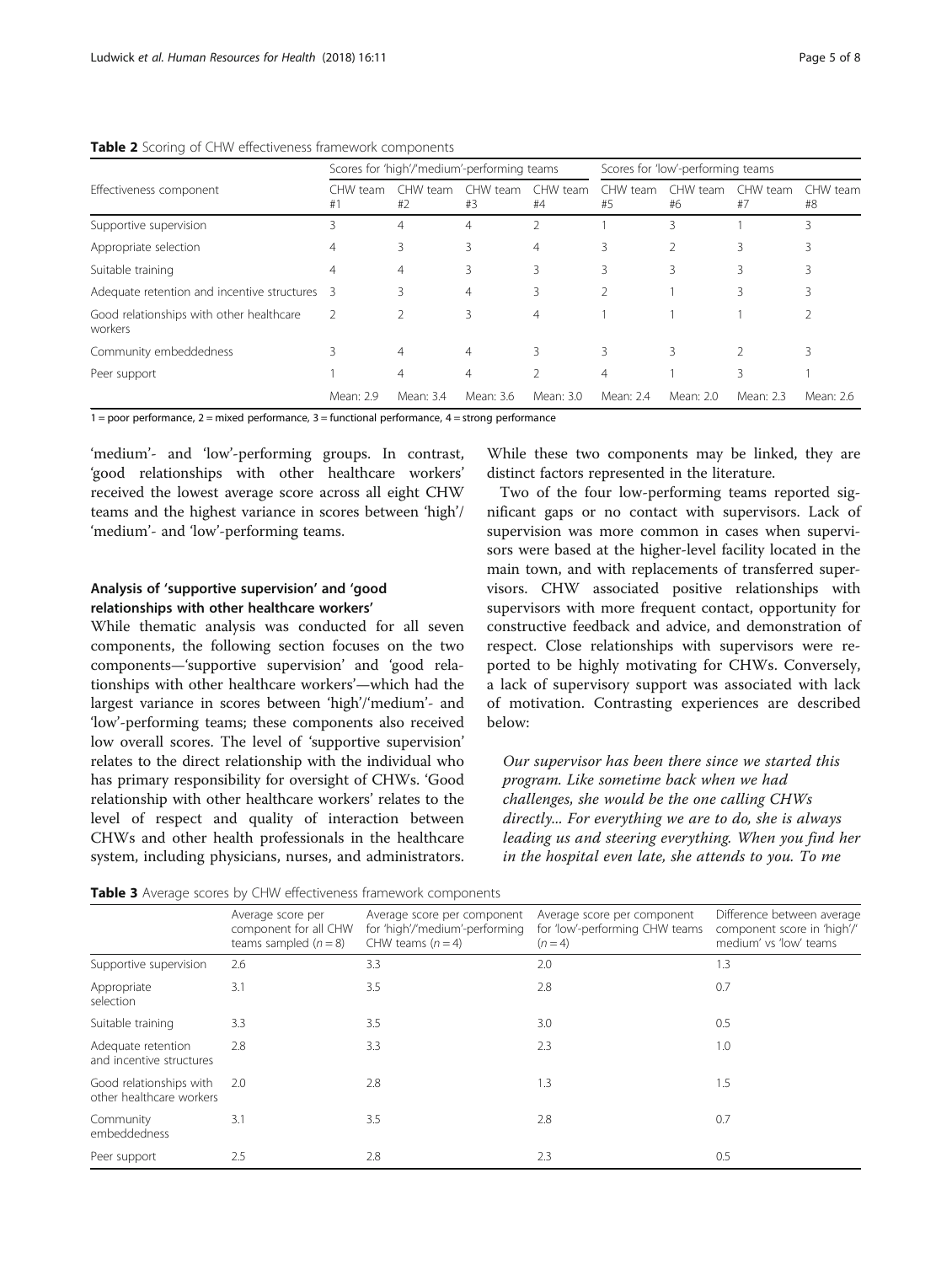| <b>Table 2</b> SCOTTING OF CITIVE CITCCLIVELIESS HALLIEWOLK COLLIDOLICITIES |                                             |                |                |                |                                   |                |                |                |  |
|-----------------------------------------------------------------------------|---------------------------------------------|----------------|----------------|----------------|-----------------------------------|----------------|----------------|----------------|--|
|                                                                             | Scores for 'high'/'medium'-performing teams |                |                |                | Scores for 'low'-performing teams |                |                |                |  |
| Effectiveness component                                                     | CHW team<br>#1                              | CHW team<br>#2 | CHW team<br>#3 | CHW team<br>#4 | CHW team<br>#5                    | CHW team<br>#6 | CHW team<br>#7 | CHW team<br>#8 |  |
| Supportive supervision                                                      |                                             | 4              | 4              |                |                                   |                |                |                |  |
| Appropriate selection                                                       |                                             |                |                | 4              |                                   |                |                |                |  |
| Suitable training                                                           |                                             | 4              |                | ζ              |                                   |                |                |                |  |
| Adequate retention and incentive structures                                 | -3                                          |                | 4              |                |                                   |                |                |                |  |
| Good relationships with other healthcare<br>workers                         |                                             |                | 3              | 4              |                                   |                |                |                |  |
| Community embeddedness                                                      |                                             | 4              | 4              | ੨              |                                   |                |                |                |  |
| Peer support                                                                |                                             |                | 4              |                |                                   |                |                |                |  |

<span id="page-4-0"></span>Table 2 Scoring of CHW effectiveness framework components

1 = poor performance, 2 = mixed performance, 3 = functional performance, 4 = strong performance

'medium'- and 'low'-performing groups. In contrast, 'good relationships with other healthcare workers' received the lowest average score across all eight CHW teams and the highest variance in scores between 'high'/ 'medium'- and 'low'-performing teams.

## Analysis of 'supportive supervision' and 'good relationships with other healthcare workers'

While thematic analysis was conducted for all seven components, the following section focuses on the two components—'supportive supervision' and 'good relationships with other healthcare workers'—which had the largest variance in scores between 'high'/'medium'- and 'low'-performing teams; these components also received low overall scores. The level of 'supportive supervision' relates to the direct relationship with the individual who has primary responsibility for oversight of CHWs. 'Good relationship with other healthcare workers' relates to the level of respect and quality of interaction between CHWs and other health professionals in the healthcare system, including physicians, nurses, and administrators.

While these two components may be linked, they are distinct factors represented in the literature.

Mean: 2.9 Mean: 3.4 Mean: 3.6 Mean: 3.0 Mean: 2.4 Mean: 2.0 Mean: 2.3 Mean: 2.6

Two of the four low-performing teams reported significant gaps or no contact with supervisors. Lack of supervision was more common in cases when supervisors were based at the higher-level facility located in the main town, and with replacements of transferred supervisors. CHW associated positive relationships with supervisors with more frequent contact, opportunity for constructive feedback and advice, and demonstration of respect. Close relationships with supervisors were reported to be highly motivating for CHWs. Conversely, a lack of supervisory support was associated with lack of motivation. Contrasting experiences are described below:

Our supervisor has been there since we started this program. Like sometime back when we had challenges, she would be the one calling CHWs directly... For everything we are to do, she is always leading us and steering everything. When you find her in the hospital even late, she attends to you. To me

Table 3 Average scores by CHW effectiveness framework components

|                                                     | Average score per<br>component for all CHW<br>teams sampled $(n = 8)$ | Average score per component<br>for 'high'/'medium'-performing<br>CHW teams $(n = 4)$ | Average score per component<br>for 'low'-performing CHW teams<br>$(n=4)$ | Difference between average<br>component score in 'high'/'<br>medium' vs 'low' teams |
|-----------------------------------------------------|-----------------------------------------------------------------------|--------------------------------------------------------------------------------------|--------------------------------------------------------------------------|-------------------------------------------------------------------------------------|
| Supportive supervision                              | 2.6                                                                   | 3.3                                                                                  | 2.0                                                                      | 1.3                                                                                 |
| Appropriate<br>selection                            | 3.1                                                                   | 3.5                                                                                  | 2.8                                                                      | 0.7                                                                                 |
| Suitable training                                   | 3.3                                                                   | 3.5                                                                                  | 3.0                                                                      | 0.5                                                                                 |
| Adequate retention<br>and incentive structures      | 2.8                                                                   | 3.3                                                                                  | 2.3                                                                      | 1.0                                                                                 |
| Good relationships with<br>other healthcare workers | 2.0                                                                   | 2.8                                                                                  | 1.3                                                                      | 1.5                                                                                 |
| Community<br>embeddedness                           | 3.1                                                                   | 3.5                                                                                  | 2.8                                                                      | 0.7                                                                                 |
| Peer support                                        | 2.5                                                                   | 2.8                                                                                  | 2.3                                                                      | 0.5                                                                                 |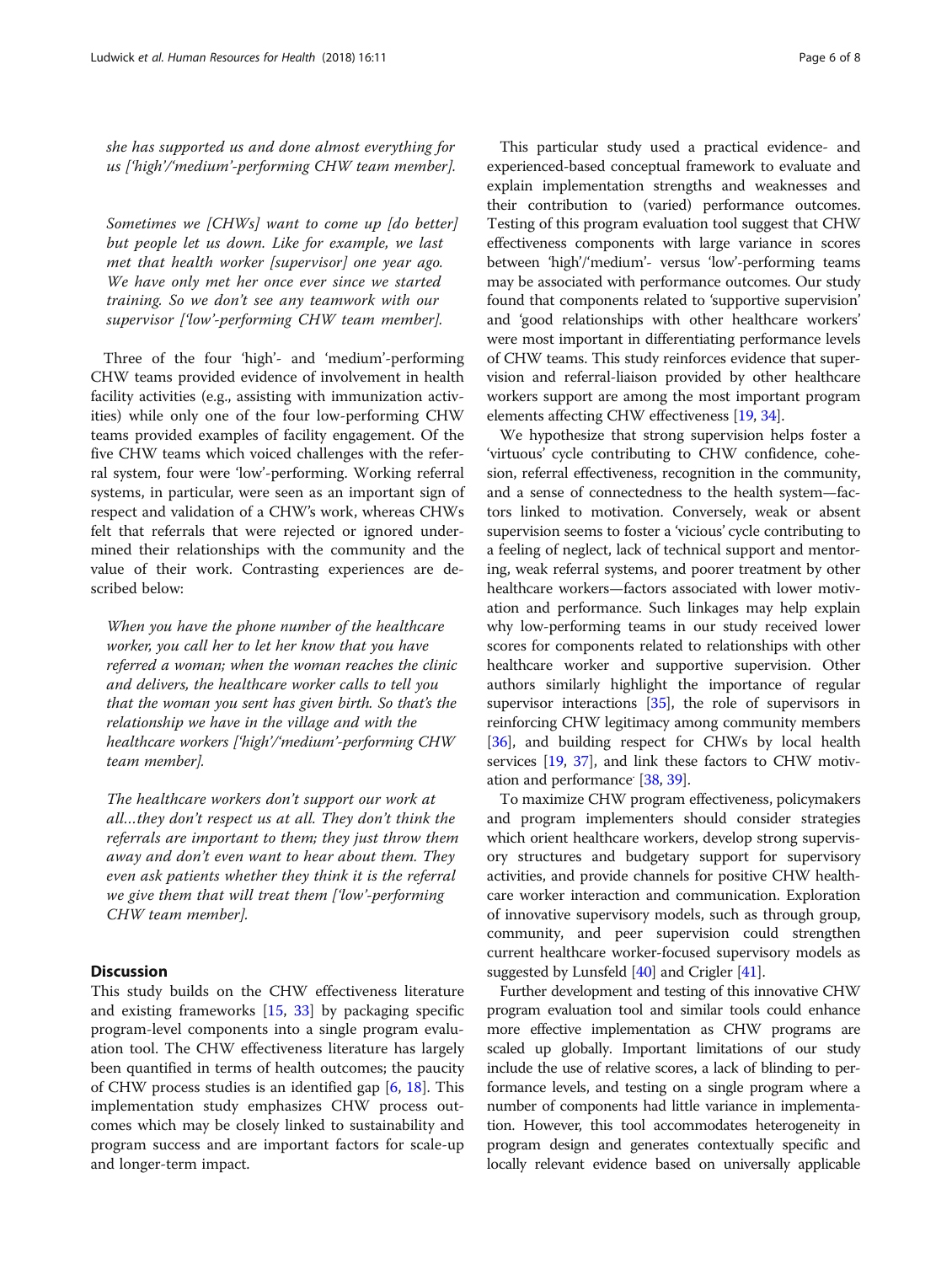she has supported us and done almost everything for us ['high'/'medium'-performing CHW team member].

Sometimes we [CHWs] want to come up [do better] but people let us down. Like for example, we last met that health worker [supervisor] one year ago. We have only met her once ever since we started training. So we don't see any teamwork with our supervisor ['low'-performing CHW team member].

Three of the four 'high'- and 'medium'-performing CHW teams provided evidence of involvement in health facility activities (e.g., assisting with immunization activities) while only one of the four low-performing CHW teams provided examples of facility engagement. Of the five CHW teams which voiced challenges with the referral system, four were 'low'-performing. Working referral systems, in particular, were seen as an important sign of respect and validation of a CHW's work, whereas CHWs felt that referrals that were rejected or ignored undermined their relationships with the community and the value of their work. Contrasting experiences are described below:

When you have the phone number of the healthcare worker, you call her to let her know that you have referred a woman; when the woman reaches the clinic and delivers, the healthcare worker calls to tell you that the woman you sent has given birth. So that's the relationship we have in the village and with the healthcare workers ['high'/'medium'-performing CHW team member].

The healthcare workers don't support our work at all…they don't respect us at all. They don't think the referrals are important to them; they just throw them away and don't even want to hear about them. They even ask patients whether they think it is the referral we give them that will treat them ['low'-performing CHW team member].

## Discussion

This study builds on the CHW effectiveness literature and existing frameworks [[15](#page-7-0), [33\]](#page-7-0) by packaging specific program-level components into a single program evaluation tool. The CHW effectiveness literature has largely been quantified in terms of health outcomes; the paucity of CHW process studies is an identified gap [\[6,](#page-7-0) [18](#page-7-0)]. This implementation study emphasizes CHW process outcomes which may be closely linked to sustainability and program success and are important factors for scale-up and longer-term impact.

This particular study used a practical evidence- and experienced-based conceptual framework to evaluate and explain implementation strengths and weaknesses and their contribution to (varied) performance outcomes. Testing of this program evaluation tool suggest that CHW effectiveness components with large variance in scores between 'high'/'medium'- versus 'low'-performing teams may be associated with performance outcomes. Our study found that components related to 'supportive supervision' and 'good relationships with other healthcare workers' were most important in differentiating performance levels of CHW teams. This study reinforces evidence that supervision and referral-liaison provided by other healthcare workers support are among the most important program elements affecting CHW effectiveness [[19](#page-7-0), [34\]](#page-7-0).

We hypothesize that strong supervision helps foster a 'virtuous' cycle contributing to CHW confidence, cohesion, referral effectiveness, recognition in the community, and a sense of connectedness to the health system—factors linked to motivation. Conversely, weak or absent supervision seems to foster a 'vicious' cycle contributing to a feeling of neglect, lack of technical support and mentoring, weak referral systems, and poorer treatment by other healthcare workers—factors associated with lower motivation and performance. Such linkages may help explain why low-performing teams in our study received lower scores for components related to relationships with other healthcare worker and supportive supervision. Other authors similarly highlight the importance of regular supervisor interactions [\[35\]](#page-7-0), the role of supervisors in reinforcing CHW legitimacy among community members [[36](#page-7-0)], and building respect for CHWs by local health services [\[19,](#page-7-0) [37\]](#page-7-0), and link these factors to CHW motiv-ation and performance [\[38,](#page-7-0) [39\]](#page-7-0).

To maximize CHW program effectiveness, policymakers and program implementers should consider strategies which orient healthcare workers, develop strong supervisory structures and budgetary support for supervisory activities, and provide channels for positive CHW healthcare worker interaction and communication. Exploration of innovative supervisory models, such as through group, community, and peer supervision could strengthen current healthcare worker-focused supervisory models as suggested by Lunsfeld  $[40]$  and Crigler  $[41]$ .

Further development and testing of this innovative CHW program evaluation tool and similar tools could enhance more effective implementation as CHW programs are scaled up globally. Important limitations of our study include the use of relative scores, a lack of blinding to performance levels, and testing on a single program where a number of components had little variance in implementation. However, this tool accommodates heterogeneity in program design and generates contextually specific and locally relevant evidence based on universally applicable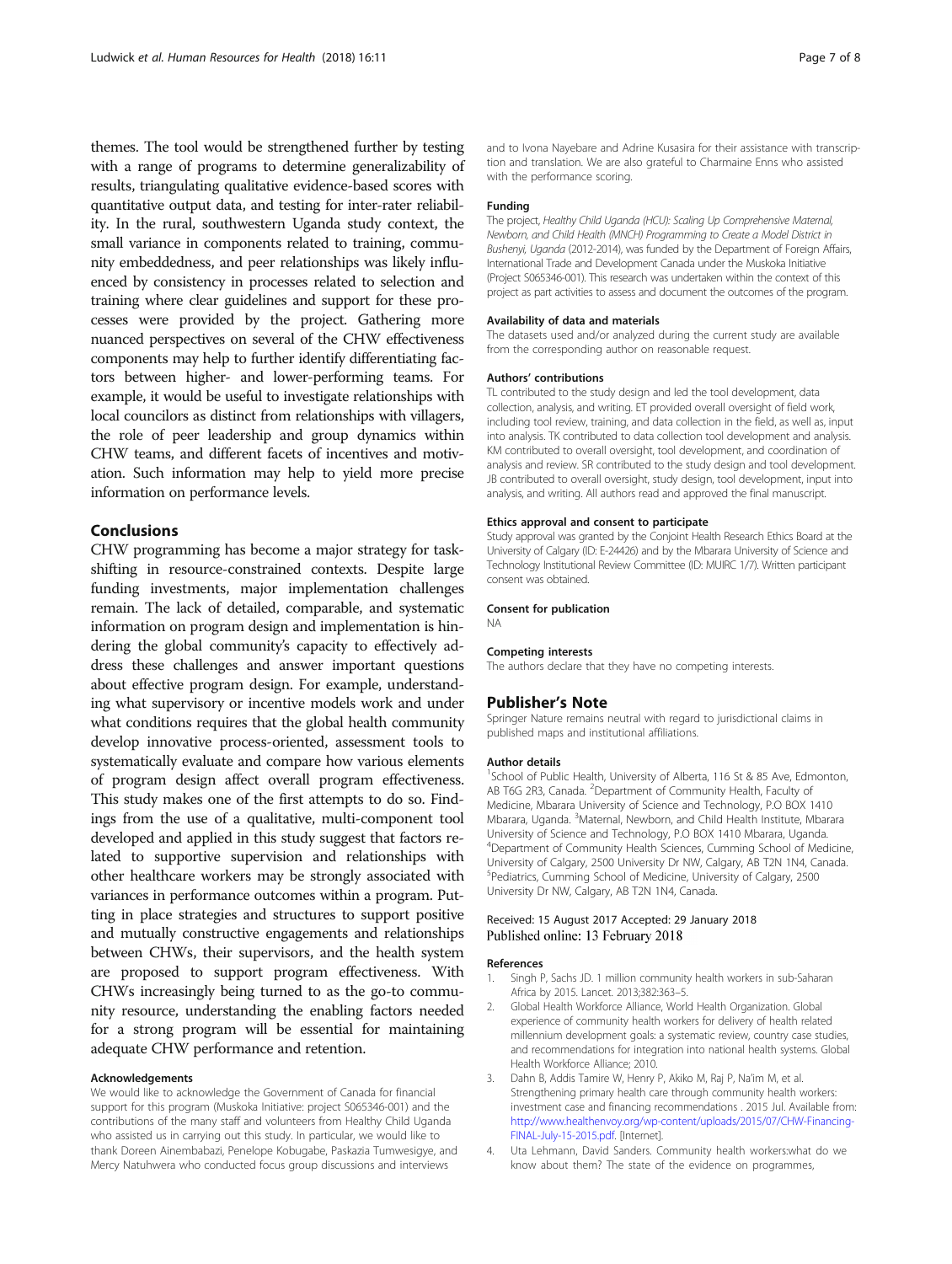<span id="page-6-0"></span>themes. The tool would be strengthened further by testing with a range of programs to determine generalizability of results, triangulating qualitative evidence-based scores with quantitative output data, and testing for inter-rater reliability. In the rural, southwestern Uganda study context, the small variance in components related to training, community embeddedness, and peer relationships was likely influenced by consistency in processes related to selection and training where clear guidelines and support for these processes were provided by the project. Gathering more nuanced perspectives on several of the CHW effectiveness components may help to further identify differentiating factors between higher- and lower-performing teams. For example, it would be useful to investigate relationships with local councilors as distinct from relationships with villagers, the role of peer leadership and group dynamics within CHW teams, and different facets of incentives and motivation. Such information may help to yield more precise information on performance levels.

## Conclusions

CHW programming has become a major strategy for taskshifting in resource-constrained contexts. Despite large funding investments, major implementation challenges remain. The lack of detailed, comparable, and systematic information on program design and implementation is hindering the global community's capacity to effectively address these challenges and answer important questions about effective program design. For example, understanding what supervisory or incentive models work and under what conditions requires that the global health community develop innovative process-oriented, assessment tools to systematically evaluate and compare how various elements of program design affect overall program effectiveness. This study makes one of the first attempts to do so. Findings from the use of a qualitative, multi-component tool developed and applied in this study suggest that factors related to supportive supervision and relationships with other healthcare workers may be strongly associated with variances in performance outcomes within a program. Putting in place strategies and structures to support positive and mutually constructive engagements and relationships between CHWs, their supervisors, and the health system are proposed to support program effectiveness. With CHWs increasingly being turned to as the go-to community resource, understanding the enabling factors needed for a strong program will be essential for maintaining adequate CHW performance and retention.

## Acknowledgements

We would like to acknowledge the Government of Canada for financial support for this program (Muskoka Initiative: project S065346-001) and the contributions of the many staff and volunteers from Healthy Child Uganda who assisted us in carrying out this study. In particular, we would like to thank Doreen Ainembabazi, Penelope Kobugabe, Paskazia Tumwesigye, and Mercy Natuhwera who conducted focus group discussions and interviews

and to Ivona Nayebare and Adrine Kusasira for their assistance with transcription and translation. We are also grateful to Charmaine Enns who assisted with the performance scoring.

#### Funding

The project, Healthy Child Uganda (HCU): Scaling Up Comprehensive Maternal, Newborn, and Child Health (MNCH) Programming to Create a Model District in Bushenyi, Uganda (2012-2014), was funded by the Department of Foreign Affairs, International Trade and Development Canada under the Muskoka Initiative (Project S065346-001). This research was undertaken within the context of this project as part activities to assess and document the outcomes of the program.

#### Availability of data and materials

The datasets used and/or analyzed during the current study are available from the corresponding author on reasonable request.

#### Authors' contributions

TL contributed to the study design and led the tool development, data collection, analysis, and writing. ET provided overall oversight of field work, including tool review, training, and data collection in the field, as well as, input into analysis. TK contributed to data collection tool development and analysis. KM contributed to overall oversight, tool development, and coordination of analysis and review. SR contributed to the study design and tool development. JB contributed to overall oversight, study design, tool development, input into analysis, and writing. All authors read and approved the final manuscript.

#### Ethics approval and consent to participate

Study approval was granted by the Conjoint Health Research Ethics Board at the University of Calgary (ID: E-24426) and by the Mbarara University of Science and Technology Institutional Review Committee (ID: MUIRC 1/7). Written participant consent was obtained.

#### Consent for publication

NA

#### Competing interests

The authors declare that they have no competing interests.

#### Publisher's Note

Springer Nature remains neutral with regard to jurisdictional claims in published maps and institutional affiliations.

#### Author details

<sup>1</sup>School of Public Health, University of Alberta, 116 St & 85 Ave, Edmonton, AB T6G 2R3, Canada. <sup>2</sup>Department of Community Health, Faculty of Medicine, Mbarara University of Science and Technology, P.O BOX 1410 Mbarara, Uganda. <sup>3</sup>Maternal, Newborn, and Child Health Institute, Mbarara University of Science and Technology, P.O BOX 1410 Mbarara, Uganda. 4 Department of Community Health Sciences, Cumming School of Medicine, University of Calgary, 2500 University Dr NW, Calgary, AB T2N 1N4, Canada. 5 Pediatrics, Cumming School of Medicine, University of Calgary, 2500 University Dr NW, Calgary, AB T2N 1N4, Canada.

## Received: 15 August 2017 Accepted: 29 January 2018 Published online: 13 February 2018

#### References

- 1. Singh P, Sachs JD. 1 million community health workers in sub-Saharan Africa by 2015. Lancet. 2013;382:363–5.
- 2. Global Health Workforce Alliance, World Health Organization. Global experience of community health workers for delivery of health related millennium development goals: a systematic review, country case studies, and recommendations for integration into national health systems. Global Health Workforce Alliance; 2010.
- 3. Dahn B, Addis Tamire W, Henry P, Akiko M, Raj P, Na'im M, et al. Strengthening primary health care through community health workers: investment case and financing recommendations . 2015 Jul. Available from: [http://www.healthenvoy.org/wp-content/uploads/2015/07/CHW-Financing-](http://www.healthenvoy.org/wp-content/uploads/2015/07/CHW-Financing-FINAL-July-15-2015.pdf)[FINAL-July-15-2015.pdf.](http://www.healthenvoy.org/wp-content/uploads/2015/07/CHW-Financing-FINAL-July-15-2015.pdf) [Internet].
- 4. Uta Lehmann, David Sanders. Community health workers:what do we know about them? The state of the evidence on programmes,